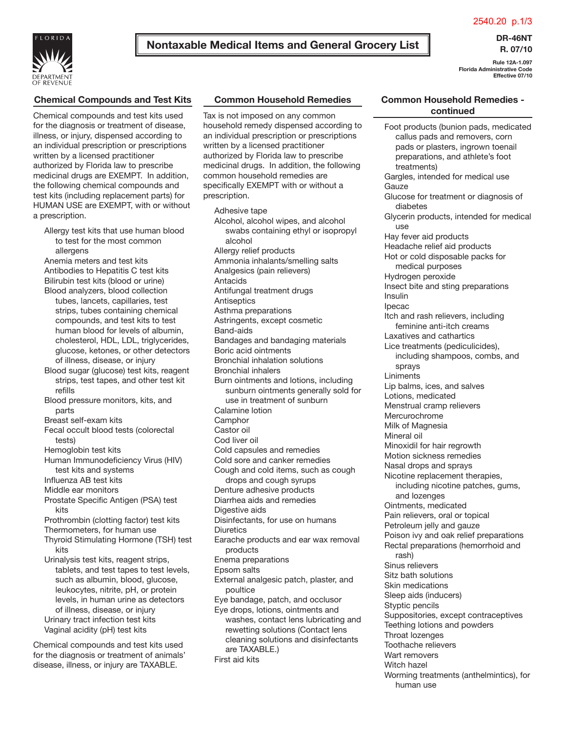2540.20 p.1/3



# **Nontaxable Medical Items and General Grocery List DR-46NT**

**R. 07/10**

**Rule 12A-1.097 Florida Administrative Code Effective 07/10**

# **Chemical Compounds and Test Kits**

Chemical compounds and test kits used for the diagnosis or treatment of disease, illness, or injury, dispensed according to an individual prescription or prescriptions written by a licensed practitioner authorized by Florida law to prescribe medicinal drugs are EXEMPT. In addition, the following chemical compounds and test kits (including replacement parts) for HUMAN USE are EXEMPT, with or without a prescription.

- Allergy test kits that use human blood to test for the most common allergens
- Anemia meters and test kits Antibodies to Hepatitis C test kits Bilirubin test kits (blood or urine)
- Blood analyzers, blood collection tubes, lancets, capillaries, test strips, tubes containing chemical compounds, and test kits to test human blood for levels of albumin, cholesterol, HDL, LDL, triglycerides, glucose, ketones, or other detectors of illness, disease, or injury
- Blood sugar (glucose) test kits, reagent strips, test tapes, and other test kit refills
- Blood pressure monitors, kits, and parts
- Breast self-exam kits
- Fecal occult blood tests (colorectal tests)
- Hemoglobin test kits
- Human Immunodeficiency Virus (HIV) test kits and systems
- Influenza AB test kits
- Middle ear monitors
- Prostate Specific Antigen (PSA) test kits
- Prothrombin (clotting factor) test kits Thermometers, for human use
- Thyroid Stimulating Hormone (TSH) test kits

Urinalysis test kits, reagent strips, tablets, and test tapes to test levels, such as albumin, blood, glucose, leukocytes, nitrite, pH, or protein levels, in human urine as detectors of illness, disease, or injury Urinary tract infection test kits Vaginal acidity (pH) test kits

Chemical compounds and test kits used for the diagnosis or treatment of animals' disease, illness, or injury are TAXABLE.

## **Common Household Remedies**

Tax is not imposed on any common household remedy dispensed according to an individual prescription or prescriptions written by a licensed practitioner authorized by Florida law to prescribe medicinal drugs. In addition, the following common household remedies are specifically EXEMPT with or without a prescription.

Adhesive tape Alcohol, alcohol wipes, and alcohol swabs containing ethyl or isopropyl alcohol Allergy relief products Ammonia inhalants/smelling salts Analgesics (pain relievers) Antacids Antifungal treatment drugs **Antiseptics** Asthma preparations Astringents, except cosmetic Band-aids Bandages and bandaging materials Boric acid ointments Bronchial inhalation solutions Bronchial inhalers Burn ointments and lotions, including sunburn ointments generally sold for use in treatment of sunburn Calamine lotion **Camphor** Castor oil Cod liver oil Cold capsules and remedies Cold sore and canker remedies Cough and cold items, such as cough drops and cough syrups Denture adhesive products Diarrhea aids and remedies Digestive aids Disinfectants, for use on humans **Diuretics** Earache products and ear wax removal products Enema preparations Epsom salts External analgesic patch, plaster, and poultice Eye bandage, patch, and occlusor Eye drops, lotions, ointments and washes, contact lens lubricating and rewetting solutions (Contact lens cleaning solutions and disinfectants are TAXABLE.) First aid kits

#### **Common Household Remedies continued**

| Foot products (bunion pads, medicated<br>callus pads and removers, corn<br>pads or plasters, ingrown toenail<br>preparations, and athlete's foot<br>treatments) |
|-----------------------------------------------------------------------------------------------------------------------------------------------------------------|
| Gargles, intended for medical use<br>Gauze                                                                                                                      |
| Glucose for treatment or diagnosis of<br>diabetes                                                                                                               |
| Glycerin products, intended for medical<br>use                                                                                                                  |
| Hay fever aid products<br>Headache relief aid products                                                                                                          |
| Hot or cold disposable packs for                                                                                                                                |
| medical purposes                                                                                                                                                |
| Hydrogen peroxide                                                                                                                                               |
| Insect bite and sting preparations                                                                                                                              |
| Insulin                                                                                                                                                         |
| Ipecac<br>Itch and rash relievers, including                                                                                                                    |
| feminine anti-itch creams                                                                                                                                       |
| Laxatives and cathartics                                                                                                                                        |
| Lice treatments (pediculicides),                                                                                                                                |
| including shampoos, combs, and                                                                                                                                  |
| sprays<br>Liniments                                                                                                                                             |
| Lip balms, ices, and salves                                                                                                                                     |
| Lotions, medicated                                                                                                                                              |
| Menstrual cramp relievers                                                                                                                                       |
| Mercurochrome                                                                                                                                                   |
| Milk of Magnesia<br>Mineral oil                                                                                                                                 |
| Minoxidil for hair regrowth                                                                                                                                     |
| Motion sickness remedies                                                                                                                                        |
| Nasal drops and sprays                                                                                                                                          |
| Nicotine replacement therapies,                                                                                                                                 |
| including nicotine patches, gums,<br>and lozenges                                                                                                               |
| Ointments, medicated                                                                                                                                            |
| Pain relievers, oral or topical                                                                                                                                 |
| Petroleum jelly and gauze                                                                                                                                       |
| Poison ivy and oak relief preparations                                                                                                                          |
| Rectal preparations (hemorrhoid and<br>rash)                                                                                                                    |
| Sinus relievers                                                                                                                                                 |
| Sitz bath solutions                                                                                                                                             |
| Skin medications                                                                                                                                                |
| Sleep aids (inducers)                                                                                                                                           |
| Styptic pencils<br>Suppositories, except contraceptives                                                                                                         |
| Teething lotions and powders                                                                                                                                    |
| Throat lozenges                                                                                                                                                 |
| Toothache relievers                                                                                                                                             |
| Wart removers                                                                                                                                                   |
| Witch hazel                                                                                                                                                     |
| Worming treatments (anthelmintics), for<br>human use                                                                                                            |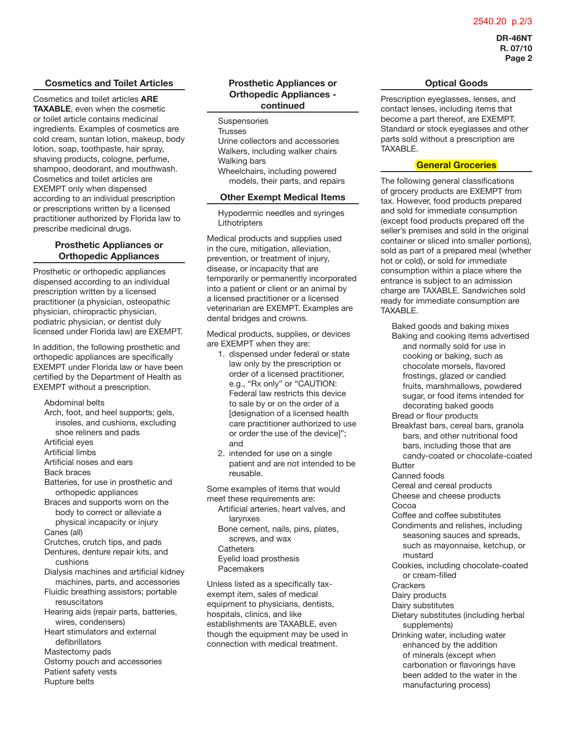#### 2540.20 p.2/3

**DR-46NT R. 07/10 Page 2**

#### **Cosmetics and Toilet Articles**

Cosmetics and toilet articles **ARE TAXABLE**, even when the cosmetic or toilet article contains medicinal ingredients. Examples of cosmetics are cold cream, suntan lotion, makeup, body lotion, soap, toothpaste, hair spray, shaving products, cologne, perfume, shampoo, deodorant, and mouthwash. Cosmetics and toilet articles are EXEMPT only when dispensed according to an individual prescription or prescriptions written by a licensed practitioner authorized by Florida law to prescribe medicinal drugs.

#### **Prosthetic Appliances or Orthopedic Appliances**

Prosthetic or orthopedic appliances dispensed according to an individual prescription written by a licensed practitioner (a physician, osteopathic physician, chiropractic physician, podiatric physician, or dentist duly licensed under Florida law) are EXEMPT.

In addition, the following prosthetic and orthopedic appliances are specifically EXEMPT under Florida law or have been certified by the Department of Health as EXEMPT without a prescription.

Abdominal belts

- Arch, foot, and heel supports; gels, insoles, and cushions, excluding shoe reliners and pads
- Artificial eyes
- Artificial limbs
- Artificial noses and ears
- Back braces
- Batteries, for use in prosthetic and orthopedic appliances
- Braces and supports worn on the body to correct or alleviate a physical incapacity or injury Canes (all)
- Crutches, crutch tips, and pads
- Dentures, denture repair kits, and cushions
- Dialysis machines and artificial kidney machines, parts, and accessories
- Fluidic breathing assistors; portable resuscitators
- Hearing aids (repair parts, batteries, wires, condensers)
- Heart stimulators and external defibrillators
- Mastectomy pads
- Ostomy pouch and accessories
- Patient safety vests
- Rupture belts

## **Prosthetic Appliances or Orthopedic Appliances continued**

- **Suspensories**
- **Trusses** Urine collectors and accessories Walkers, including walker chairs Walking bars Wheelchairs, including powered
- models, their parts, and repairs

#### **Other Exempt Medical Items**

Hypodermic needles and syringes **Lithotripters** 

Medical products and supplies used in the cure, mitigation, alleviation, prevention, or treatment of injury, disease, or incapacity that are temporarily or permanently incorporated into a patient or client or an animal by a licensed practitioner or a licensed veterinarian are EXEMPT. Examples are dental bridges and crowns.

Medical products, supplies, or devices are EXEMPT when they are:

- 1. dispensed under federal or state law only by the prescription or order of a licensed practitioner, e.g., "Rx only" or "CAUTION: Federal law restricts this device to sale by or on the order of a [designation of a licensed health care practitioner authorized to use or order the use of the device]"; and
- 2. intended for use on a single patient and are not intended to be reusable.

Some examples of items that would meet these requirements are:

- Artificial arteries, heart valves, and larynxes
- Bone cement, nails, pins, plates, screws, and wax **Catheters** Eyelid load prosthesis **Pacemakers**

Unless listed as a specifically taxexempt item, sales of medical equipment to physicians, dentists, hospitals, clinics, and like establishments are TAXABLE, even though the equipment may be used in connection with medical treatment.

## **Optical Goods**

Prescription eyeglasses, lenses, and contact lenses, including items that become a part thereof, are EXEMPT. Standard or stock eyeglasses and other parts sold without a prescription are TAXABLE.

# **General Groceries**

The following general classifications of grocery products are EXEMPT from tax. However, food products prepared and sold for immediate consumption (except food products prepared off the seller's premises and sold in the original container or sliced into smaller portions), sold as part of a prepared meal (whether hot or cold), or sold for immediate consumption within a place where the entrance is subject to an admission charge are TAXABLE. Sandwiches sold ready for immediate consumption are TAXABLE.

Baked goods and baking mixes Baking and cooking items advertised and normally sold for use in cooking or baking, such as chocolate morsels, flavored frostings, glazed or candied fruits, marshmallows, powdered sugar, or food items intended for decorating baked goods Bread or flour products Breakfast bars, cereal bars, granola bars, and other nutritional food bars, including those that are candy-coated or chocolate-coated **Butter** Canned foods Cereal and cereal products Cheese and cheese products Cocoa Coffee and coffee substitutes Condiments and relishes, including seasoning sauces and spreads, such as mayonnaise, ketchup, or mustard Cookies, including chocolate-coated or cream-filled **Crackers** Dairy products Dairy substitutes Dietary substitutes (including herbal supplements) Drinking water, including water enhanced by the addition of minerals (except when carbonation or flavorings have been added to the water in the manufacturing process)